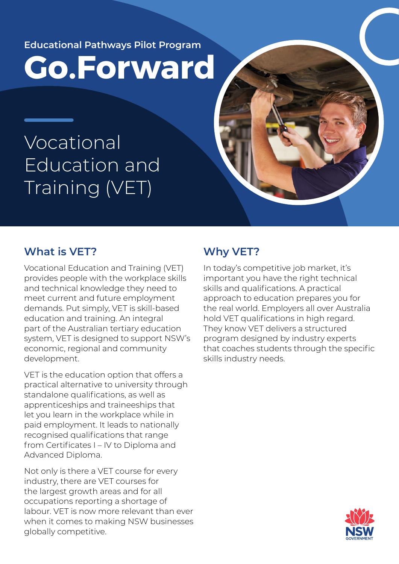**Educational Pathways Pilot Program**

**Go.Forward**

Vocational Education and Training (VET)

## **What is VET?**

Vocational Education and Training (VET) provides people with the workplace skills and technical knowledge they need to meet current and future employment demands. Put simply, VET is skill-based education and training. An integral part of the Australian tertiary education system, VET is designed to support NSW's economic, regional and community development.

VET is the education option that offers a practical alternative to university through standalone qualifications, as well as apprenticeships and traineeships that let you learn in the workplace while in paid employment. It leads to nationally recognised qualifications that range from Certificates I – IV to Diploma and Advanced Diploma.

Not only is there a VET course for every industry, there are VET courses for the largest growth areas and for all occupations reporting a shortage of labour. VET is now more relevant than ever when it comes to making NSW businesses globally competitive.

## **Why VET?**

In today's competitive job market, it's important you have the right technical skills and qualifications. A practical approach to education prepares you for the real world. Employers all over Australia hold VET qualifications in high regard. They know VET delivers a structured program designed by industry experts that coaches students through the specific skills industry needs.